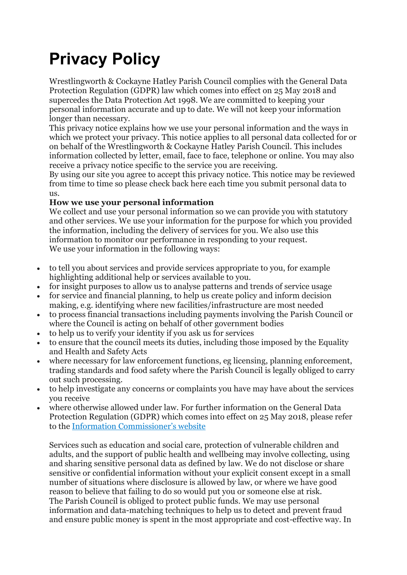# **Privacy Policy**

Wrestlingworth & Cockayne Hatley Parish Council complies with the General Data Protection Regulation (GDPR) law which comes into effect on 25 May 2018 and supercedes the Data Protection Act 1998. We are committed to keeping your personal information accurate and up to date. We will not keep your information longer than necessary.

This privacy notice explains how we use your personal information and the ways in which we protect your privacy. This notice applies to all personal data collected for or on behalf of the Wrestlingworth & Cockayne Hatley Parish Council. This includes information collected by letter, email, face to face, telephone or online. You may also receive a privacy notice specific to the service you are receiving.

By using our site you agree to accept this privacy notice. This notice may be reviewed from time to time so please check back here each time you submit personal data to us.

## **How we use your personal information**

We collect and use your personal information so we can provide you with statutory and other services. We use your information for the purpose for which you provided the information, including the delivery of services for you. We also use this information to monitor our performance in responding to your request. We use your information in the following ways:

- to tell you about services and provide services appropriate to you, for example highlighting additional help or services available to you.
- for insight purposes to allow us to analyse patterns and trends of service usage
- for service and financial planning, to help us create policy and inform decision making, e.g. identifying where new facilities/infrastructure are most needed
- to process financial transactions including payments involving the Parish Council or where the Council is acting on behalf of other government bodies
- to help us to verify your identity if you ask us for services
- to ensure that the council meets its duties, including those imposed by the Equality and Health and Safety Acts
- where necessary for law enforcement functions, eg licensing, planning enforcement, trading standards and food safety where the Parish Council is legally obliged to carry out such processing.
- to help investigate any concerns or complaints you have may have about the services you receive
- where otherwise allowed under law. For further information on the General Data Protection Regulation (GDPR) which comes into effect on 25 May 2018, please refer to the [Information Commissioner's website](https://nam01.safelinks.protection.outlook.com/?url=https%3A%2F%2Fico.org.uk%2F&data=02%7C01%7C%7C04cf1c54273c49021cd108d63333ab85%7C84df9e7fe9f640afb435aaaaaaaaaaaa%7C1%7C0%7C636752694345911189&sdata=DrPY9MfBk%2BzOpocOU7Fu8ZpUd0F6304nIz%2FSMAL9QDs%3D&reserved=0)

Services such as education and social care, protection of vulnerable children and adults, and the support of public health and wellbeing may involve collecting, using and sharing sensitive personal data as defined by law. We do not disclose or share sensitive or confidential information without your explicit consent except in a small number of situations where disclosure is allowed by law, or where we have good reason to believe that failing to do so would put you or someone else at risk. The Parish Council is obliged to protect public funds. We may use personal information and data-matching techniques to help us to detect and prevent fraud and ensure public money is spent in the most appropriate and cost-effective way. In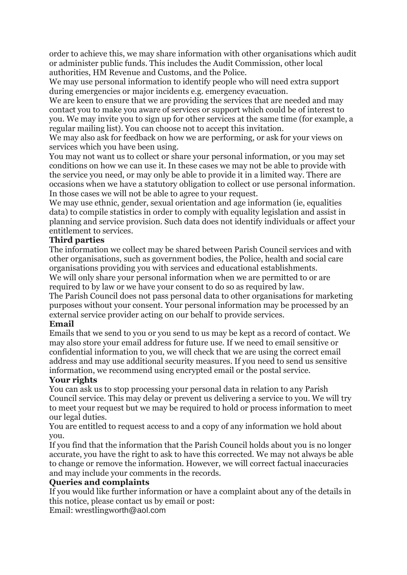order to achieve this, we may share information with other organisations which audit or administer public funds. This includes the Audit Commission, other local authorities, HM Revenue and Customs, and the Police.

We may use personal information to identify people who will need extra support during emergencies or major incidents e.g. emergency evacuation.

We are keen to ensure that we are providing the services that are needed and may contact you to make you aware of services or support which could be of interest to you. We may invite you to sign up for other services at the same time (for example, a regular mailing list). You can choose not to accept this invitation.

We may also ask for feedback on how we are performing, or ask for your views on services which you have been using.

You may not want us to collect or share your personal information, or you may set conditions on how we can use it. In these cases we may not be able to provide with the service you need, or may only be able to provide it in a limited way. There are occasions when we have a statutory obligation to collect or use personal information. In those cases we will not be able to agree to your request.

We may use ethnic, gender, sexual orientation and age information (ie, equalities data) to compile statistics in order to comply with equality legislation and assist in planning and service provision. Such data does not identify individuals or affect your entitlement to services.

### **Third parties**

The information we collect may be shared between Parish Council services and with other organisations, such as government bodies, the Police, health and social care organisations providing you with services and educational establishments. We will only share your personal information when we are permitted to or are required to by law or we have your consent to do so as required by law.

The Parish Council does not pass personal data to other organisations for marketing purposes without your consent. Your personal information may be processed by an external service provider acting on our behalf to provide services.

#### **Email**

Emails that we send to you or you send to us may be kept as a record of contact. We may also store your email address for future use. If we need to email sensitive or confidential information to you, we will check that we are using the correct email address and may use additional security measures. If you need to send us sensitive information, we recommend using encrypted email or the postal service.

#### **Your rights**

You can ask us to stop processing your personal data in relation to any Parish Council service. This may delay or prevent us delivering a service to you. We will try to meet your request but we may be required to hold or process information to meet our legal duties.

You are entitled to request access to and a copy of any information we hold about you.

If you find that the information that the Parish Council holds about you is no longer accurate, you have the right to ask to have this corrected. We may not always be able to change or remove the information. However, we will correct factual inaccuracies and may include your comments in the records.

## **Queries and complaints**

If you would like further information or have a complaint about any of the details in this notice, please contact us by email or post:

Email: wrestlingworth@aol.com